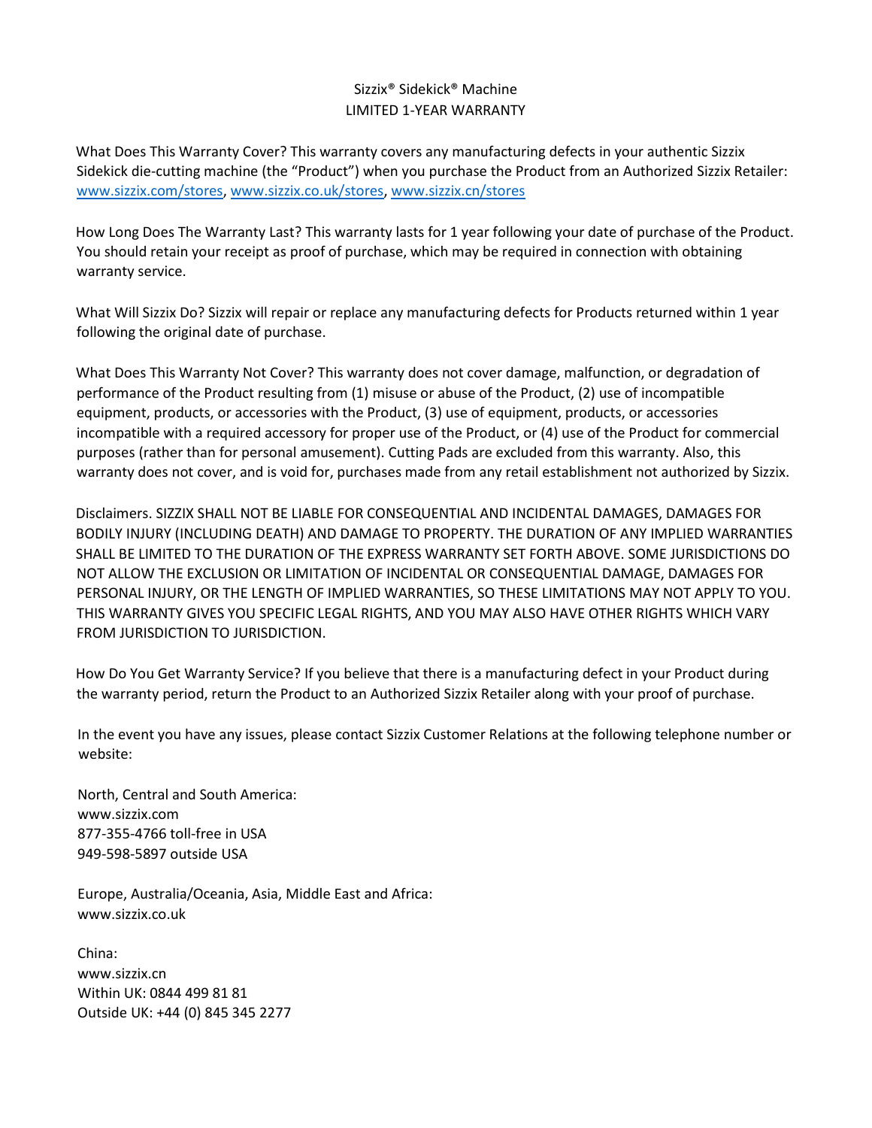## Sizzix® Sidekick® Machine LIMITED 1-YEAR WARRANTY

What Does This Warranty Cover? This warranty covers any manufacturing defects in your authentic Sizzix Sidekick die-cutting machine (the "Product") when you purchase the Product from an Authorized Sizzix Retailer: [www.sizzix.com/stores,](http://www.sizzix.com/stores) [www.sizzix.co.uk/stores,](http://www.sizzix.co.uk/stores) [www.sizzix.cn/stores](http://www.sizzix.cn/stores)

How Long Does The Warranty Last? This warranty lasts for 1 year following your date of purchase of the Product. You should retain your receipt as proof of purchase, which may be required in connection with obtaining warranty service.

What Will Sizzix Do? Sizzix will repair or replace any manufacturing defects for Products returned within 1 year following the original date of purchase.

What Does This Warranty Not Cover? This warranty does not cover damage, malfunction, or degradation of performance of the Product resulting from (1) misuse or abuse of the Product, (2) use of incompatible equipment, products, or accessories with the Product, (3) use of equipment, products, or accessories incompatible with a required accessory for proper use of the Product, or (4) use of the Product for commercial purposes (rather than for personal amusement). Cutting Pads are excluded from this warranty. Also, this warranty does not cover, and is void for, purchases made from any retail establishment not authorized by Sizzix.

Disclaimers. SIZZIX SHALL NOT BE LIABLE FOR CONSEQUENTIAL AND INCIDENTAL DAMAGES, DAMAGES FOR BODILY INJURY (INCLUDING DEATH) AND DAMAGE TO PROPERTY. THE DURATION OF ANY IMPLIED WARRANTIES SHALL BE LIMITED TO THE DURATION OF THE EXPRESS WARRANTY SET FORTH ABOVE. SOME JURISDICTIONS DO NOT ALLOW THE EXCLUSION OR LIMITATION OF INCIDENTAL OR CONSEQUENTIAL DAMAGE, DAMAGES FOR PERSONAL INJURY, OR THE LENGTH OF IMPLIED WARRANTIES, SO THESE LIMITATIONS MAY NOT APPLY TO YOU. THIS WARRANTY GIVES YOU SPECIFIC LEGAL RIGHTS, AND YOU MAY ALSO HAVE OTHER RIGHTS WHICH VARY FROM JURISDICTION TO JURISDICTION.

How Do You Get Warranty Service? If you believe that there is a manufacturing defect in your Product during the warranty period, return the Product to an Authorized Sizzix Retailer along with your proof of purchase.

In the event you have any issues, please contact Sizzix Customer Relations at the following telephone number or website:

North, Central and South America: www.sizzix.com 877-355-4766 toll-free in USA 949-598-5897 outside USA

Europe, Australia/Oceania, Asia, Middle East and Africa: www.sizzix.co.uk

China: www.sizzix.cn Within UK: 0844 499 81 81 Outside UK: +44 (0) 845 345 2277